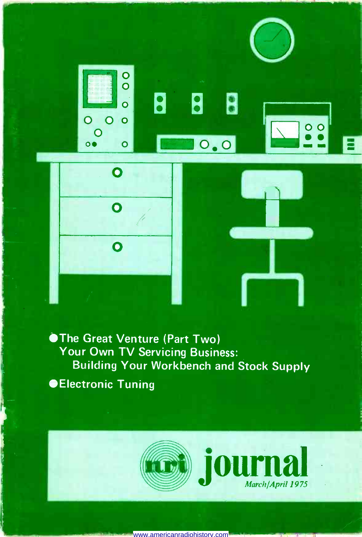

0

O O o

**0** 8

0

<sup>0</sup>o <sup>O</sup>

The Great Venture (Part Two) Your Own TV Servicing Business: Building Your Workbench and Stock Supply *<del>OElectronic Tuning</del>* 



www.americanradiohistory.com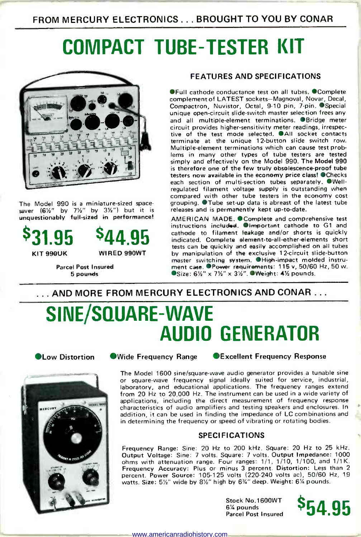FROM MERCURY ELECTRONICS ... BROUGHT TO YOU BY CONAR

## COMPACT TUBE -TESTER KIT



The Model 990 is a miniature-sized space-<br>saver  $(6\frac{1}{2}$ " by 7½" by 3½") but it is unquestionably full-sized in performance!

 $831.95$   $844.95$   $\frac{cathode}{\text{indicate}}$ 

KIT 990UK WIRED 990WT

Parcel Post Insured 5 pounds

### FEATURES AND SPECIFICATIONS

**OFull cathode conductance test on all tubes. OComplete** complement of LATEST sockets-Magnoval, Novar, Decal, Compactron, Nuvistor, Octal, 9-10 pin, 7-pin. ● Special unique open -circuit slide -switch master selection frees any and all multiple -element terminations. Bridge meter circuit provides higher -sensitivity meter readings, irrespective of the test mode selected. All socket contacts<br>terminate at the unique 12-button slide switch row. Multiple-element terminations which can cause test problems in many other types of tube testers are tested simply and effectively on the Model 990. The Model 990 is therefore one of the few truly obsolescence-proof tube testers now available in the economy price class! OChecks each section of multi-section tubes separately. Wellregulated filament voltage supply is outstanding when compared with other tube testers in the economy cost grouping. Tube set-up data is abreast of the latest tube releases and is permanently kept up-to-date.

AMERICAN MADE. Complete and comprehensive test instructions included. Chimerata cathode to G1 and cathode to filament leakage and/or shorts is quickly indicated. Complete element-to-all-other-elements short tests can be quickly and easily accomplished on all tubes by manipulation of the exclusive 12 -circuit slide -button master switching system. High-impact molded instrument case. PPower requirements: 115 v, 50/60 Hz, 50 w.<br>OSize: 61/2" x 71/2" x 31/2". OWeight: 41/2 pounds.

### ... AND MORE FROM MERCURY ELECTRONICS AND CONAR .. .

### SINE/SQUARE-WAVE AUDIO GENERATOR



**OLow Distortion C**Wide Frequency Range CE Scellent Frequency Response

The Model 1600 sine/square-wave audio generator provides a tunable sine or square-wave frequency signal ideally suited for service, industrial, and educational applications. The frequency ranges extend the value of stated from 20 Hz to 20,000 Hz. The instrument can be used in a wide variety of applications, including the direct measurement of frequency response characteristics of audio amplifiers and testing speakers and enclosures. In addition, it can be used in finding the impedance of LC combinations and in determining the frequency or speed of vibrating or rotating bodies.

### SPECIFICATIONS

Frequency Range: Sine: 20 Hz to 200 kHz. Square: 20 Hz to 25 kHz. Output Voltage: Sine: 7 volts. Square: 7 volts. Output Impedance: 1000 ohms with attenuation range. Four ranges: 1/1, 1/10, 1/100, and 1/1K. Frequency Accuracy: Plus or minus 3 percent. Distortion: Less than 2<br>percent. Power Source: 105-125 volts (220-240 volts ac), 50/60 Hz, 19 watts. Size: 51/2" wide by 81/2" high by 63/4" deep. Weight: 61/4 pounds.

> Stock No.1600WT 6% pounds

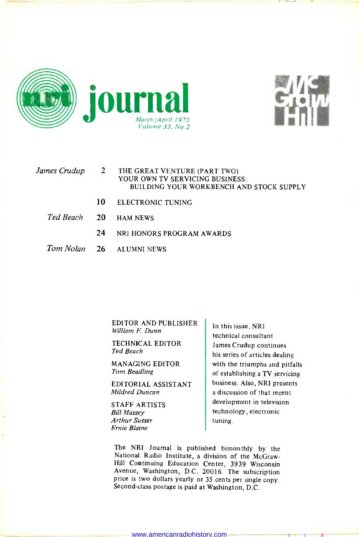



#### James Crudup THE GREAT VENTURE (PART TWO) YOUR OWN TV SERVICING BUSINESS: BUILDING YOUR WORKBENCH AND STOCK SUPPLY

- 10 ELECTRONIC TUNING
- Ted Beach 20 **HAM NEWS** 
	- 24 NRI HONORS PROGRAM AWARDS
- Tom Nolan 26 **ALUMNI NEWS**

EDITOR AND PUBLISHER William F. Dunn

TECHNICAL EDITOR Ted Beach

MANAGING EDITOR Tom Beadling

EDITORIAL ASSISTANT Mildred Duncan

STAFF ARTISTS Bill Massey Arthur Susser Ernie Blaine

In this issue, NRI technical consultant James Crudup continues his series of articles dealing with the triumphs and pitfalls of establishing a TV servicing business. Also, NRI presents a discussion of that recent development in television technology, electronic tuning.

The NRI Journal is published bimonthly by the National Radio Institute, a division of the McGraw-Hill Continuing Education Center, 3939 Wisconsin Avenue, Washington, D.C. 20016. The subscription price is two dollars yearly or 35 cents per single copy. Second-class postage is paid at Washington, D.C.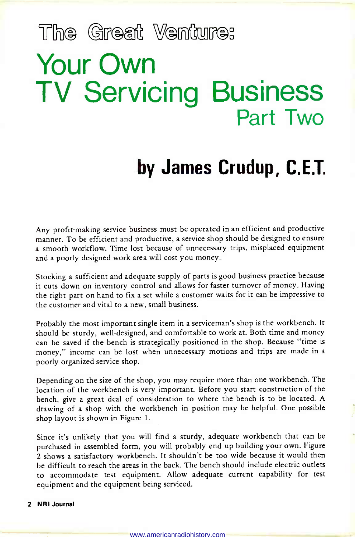# The Great Venture: Your Own TV Servicing Business Part Two

### by James Crudup, C.E.T.

Any profit-making service business must be operated in an efficient and productive manner. To be efficient and productive, a service shop should be designed to ensure a smooth workflow. Time lost because of unnecessary trips, misplaced equipment and a poorly designed work area will cost you money.

Stocking a sufficient and adequate supply of parts is good business practice because it cuts down on inventory control and allows for faster turnover of money. Having the right part on hand to fix a set while a customer waits for it can be impressive to the customer and vital to a new, small business.

Probably the most important single item in a serviceman's shop is the workbench. It should be sturdy, well-designed, and comfortable to work at. Both time and money can be saved if the bench is strategically positioned in the shop. Because "time is money," income can be lost when unnecessary motions and trips are made in a poorly organized service shop.

Depending on the size of the shop, you may require more than one workbench. The location of the workbench is very important. Before you start construction of the bench, give a great deal of consideration to where the bench is to be located. A drawing of a shop with the workbench in position may be helpful. One possible shop layout is shown in Figure 1.

Since it's unlikely that you will find a sturdy, adequate workbench that can be purchased in assembled form, you will probably end up building your own. Figure <sup>2</sup>shows a satisfactory workbench. It shouldn't be too wide because it would then be difficult to reach the areas in the back. The bench should include electric outlets to accommodate test equipment. Allow adequate current capability for test equipment and the equipment being serviced.

### 2 NRI Journal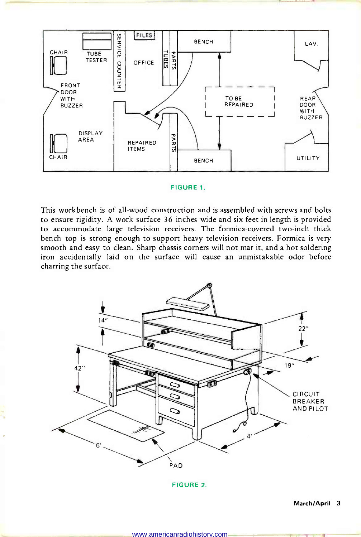

### FIGURE 1.

This workbench is of all-wood construction and is assembled with screws and bolts to ensure rigidity. A work surface 36 inches wide and six feet in length is provided to accommodate large television receivers. The formica -covered two-inch thick bench top is strong enough to support heavy television receivers. Formica is very smooth and easy to clean. Sharp chassis corners will not mar it, and a hot soldering iron accidentally laid on the surface will cause an unmistakable odor before charring the surface.



FIGURE 2.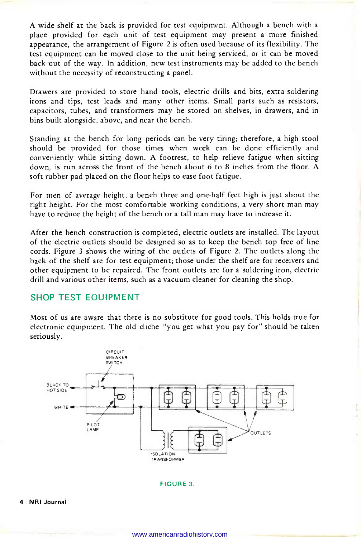A wide shelf at the back is provided for test equipment. Although a bench with a place provided for each unit of test equipment may present a more finished appearance, the arrangement of Figure 2 is often used because of its flexibility. The test equipment can be moved close to the unit being serviced, or it can be moved back out of the way. In addition, new test instruments may be added to the bench without the necessity of reconstructing a panel.

Drawers are provided to store hand tools, electric drills and bits, extra soldering irons and tips, test leads and many other items. Small parts such as resistors, capacitors, tubes, and transformers may be stored on shelves, in drawers, and in bins built alongside, above, and near the bench.

Standing at the bench for long periods can be very tiring; therefore, a high stool should be provided for those times when work can be done efficiently and conveniently while sitting down. A footrest, to help relieve fatigue when sitting down, is run across the front of the bench about 6 to 8 inches from the floor. A soft rubber pad placed on the floor helps to ease foot fatigue.

For men of average height, a bench three and one-half feet high is just about the right height. For the most comfortable working conditions, a very short man may have to reduce the height of the bench or a tall man may have to increase it.

After the bench construction is completed, electric outlets are installed. The layout of the electric outlets should be designed so as to keep the bench top free of line cords. Figure 3 shows the wiring of the outlets of Figure 2. The outlets along the back of the shelf are for test equipment; those under the shelf are for receivers and other equipment to be repaired. The front outlets are for a soldering iron, electric drill and various other items, such as a vacuum cleaner for cleaning the shop.

### SHOP TEST EQUIPMENT

Most of us are aware that there is no substitute for good tools. This holds true for electronic equipment. The old cliche "you get what you pay for" should be taken seriously.



#### FIGURE 3.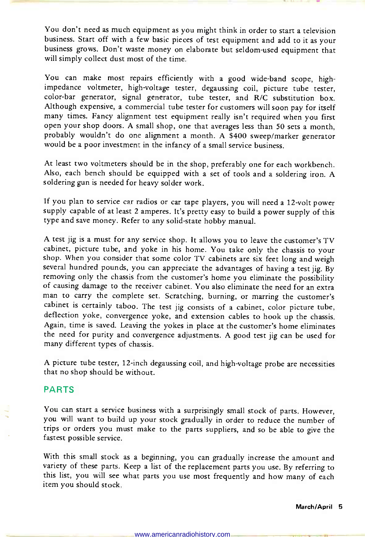You don't need as much equipment as you might think in order to start a television business. Start off with a few basic pieces of test equipment and add to it as your business grows. Don't waste money on elaborate but seldom -used equipment that will simply collect dust most of the time.

You can make most repairs efficiently with a good wide-band scope, high-impedance voltmeter, high-voltage tester, degaussing coil, picture tube tester, color -bar generator, signal generator, tube tester, and R/C substitution box. Although expensive, a commercial tube tester for customers will soon pay for itself many times. Fancy alignment test equipment really isn't required when you first open your shop doors. A small shop, one that averages less than 50 sets a month, probably wouldn't do one alignment a month. A \$400 sweep/marker generator would be a poor investment in the infancy of a small service business.

At least two voltmeters should be in the shop, preferably one for each workbench. Also, each bench should be equipped with a set of tools and a soldering iron. A soldering gun is needed for heavy solder work.

If you plan to service car radios or car tape players, you will need a 12 -volt power supply capable of at least 2 amperes. It's pretty easy to build a power supply of this type and save money. Refer to any solid-state hobby manual.

A test jig is a must for any service shop. It allows you to leave the customer's TV cabinet, picture tube, and yoke in his home. You take only the chassis to your shop. When you consider that some color TV cabinets are six feet long and weigh several hundred pounds, you can appreciate the advantages of having a test jig. By removing only the chassis from the customer's home you eliminate the possibility of causing damage to the receiver cabinet. You also eliminate the need for an extra<br>man to carry the complete set. Scratching, burning, or marring the customer's cabinet is certainly taboo. The test jig consists of a cabinet, color picture tube, deflection yoke, convergence yoke, and extension cables to hook up the chassis. Again, time is saved. Leaving the yokes in place at the customer's home eliminates the need for purity and convergence adjustments. A good test jig can be used for many different types of chassis.

A picture tube tester, 12 -inch degaussing coil, and high -voltage probe are necessities that no shop should be without.

### PARTS

You can start a service business with a surprisingly small stock of parts. However, you will want to build up your stock gradually in order to reduce the number of trips or orders you must make to the parts suppliers, and so be able to give the fastest possible service.

With this small stock as a beginning, you can gradually increase the amount and variety of these parts. Keep a list of the replacement parts you use. By referring to this list, you will see what parts you use most frequently and how many of each item you should stock.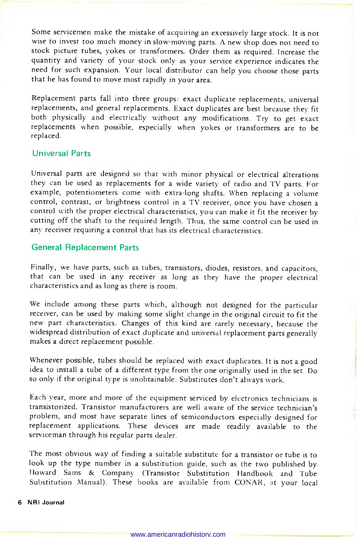Some servicemen make the mistake of acquiring an excessively large stock. It is not wise to invest too much money in slow -moving parts. A new shop does not need to stock picture tubes, yokes or transformers. Order them as required. Increase the quantity and variety of your stock only as your service experience indicates the need for such expansion. Your local distributor can help you choose those parts that he has found to move most rapidly in your area.

Replacement parts fall into three groups: exact duplicate replacements, universal replacements, and general replacements. Exact duplicates are best because they fit both physically and electrically without any modifications. Try to get exact replacements when possible, especially when yokes or transformers are to be replaced.

### Universal Parts

Universal parts are designed so that with minor physical or electrical alterations they can be used as replacements for a wide variety of radio and TV parts. For example, potentiometers come with extra-long shafts. When replacing a volume control, contrast, or brightness control in a TV receiver, once you have chosen a control, with the proper electrical characteristics, you can make it fit the receiver by cutting off the shaft to the required length. Thus, the same control can be used in any receiver requiring a control that has its electrical characteristics.

### General Replacement Parts

Finally, we have parts, such as tubes, transistors, diodes, resistors, and capacitors, that can be used in any receiver as long as they have the proper electrical characteristics and as long as there is room.

We include among these parts which, although not designed for the particular receiver, can be used by making some slight change in the original circuit to fit the new part characteristics. Changes of this kind are rarely necessary, because the widespread distribution of exact duplicate and universal replacement parts generally makes a direct replacement possible.

Whenever possible, tubes should be replaced with exact duplicates. It is not a good idea to install a tube of a different type from the one originally used in the set. Do so only if the original type is unobtainable. Substitutes don't always work.

Each year, more and more of the equipment serviced by electronics technicians is transistorized. Transistor manufacturers are well aware of the service technician's problem, and most have separate lines of semiconductors especially designed for replacement applications. These devices are made readily available to the serviceman through his regular parts dealer.

The most obvious way of finding a suitable substitute for a transistor or tube is to look up the type number in a substitution guide, such as the two published by Howard Sams & Company (Transistor Substitution Handbook and Tube Substitution Manual). These books are available from CONAR, at your local

### 6 NRl Journal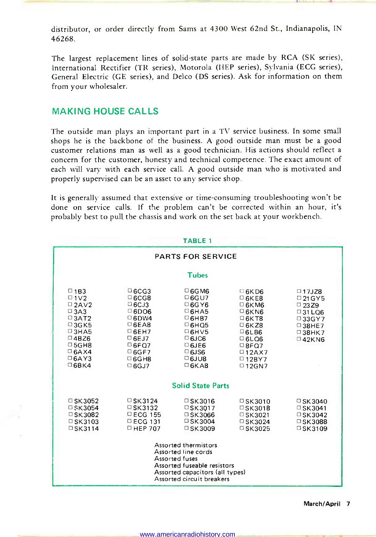The largest replacement lines of solid-state parts are made by RCA (SK series), International Rectifier (TR series), Motorola (HEP series), Sylvania (ECG series), General Electric (GE series), and Delco (DS series). Ask for information on them from your wholesaler.

### MAKING HOUSE CALLS

The outside man plays an important part in a TV service business. In some small shops he is the backbone of the business. A good outside man must be a good customer relations man as well as a good technician. His actions should reflect a concern for the customer, honesty and technical competence. The exact amount of each will vary with each service call. A good outside man who is motivated and properly supervised can be an asset to any service shop.

It is generally assumed that extensive or time-consuming troubleshooting won't be done on service calls. If the problem can't be corrected within an hour, it's probably best to pull the chassis and work on the set back at your workbench.

|                                                                                                                                                                                               |                                                                                                                                                                                  | <b>TABLE 1</b>                                                                                                                                                                    |                                                                                                                                                                                      |                                                                                                                                  |  |  |  |  |
|-----------------------------------------------------------------------------------------------------------------------------------------------------------------------------------------------|----------------------------------------------------------------------------------------------------------------------------------------------------------------------------------|-----------------------------------------------------------------------------------------------------------------------------------------------------------------------------------|--------------------------------------------------------------------------------------------------------------------------------------------------------------------------------------|----------------------------------------------------------------------------------------------------------------------------------|--|--|--|--|
|                                                                                                                                                                                               |                                                                                                                                                                                  | <b>PARTS FOR SERVICE</b>                                                                                                                                                          |                                                                                                                                                                                      |                                                                                                                                  |  |  |  |  |
|                                                                                                                                                                                               |                                                                                                                                                                                  | <b>Tubes</b>                                                                                                                                                                      |                                                                                                                                                                                      |                                                                                                                                  |  |  |  |  |
| $\square$ 1B3<br>$\Box$ 1 $\lor$ 2<br>$\Box$ 2AV2<br>$\Box$ 3A3<br>$\square$ 3AT2<br>$\square$ 3GK5<br>$\Box$ 3HA5<br>$\Box$ 4BZ6<br>$\Box$ 5GH8<br>$\Box$ 6AX4<br>$\Box$ 6AY3<br>$\Box$ 6BK4 | $\Box$ 6CG3<br>$\Box$ 6CG8<br>$\Box$ 6CJ3<br>$\Box$ 6DO6<br>$\Box$ 6DW4<br>$\Box$ 6EA8<br>$\Box$ 6EH7<br>$\Box$ 6EJ7<br>$\Box$ 6FQ7<br>$\Box$ 6GF7<br>$\Box$ 6GH8<br>$\Box$ 6GJ7 | $\Box$ 6GM6<br>$\Box$ 6GU7<br>$\Box$ 6G Y6<br>$\Box$ 6HA5<br>$\Box$ 6HB7<br>$\Box$ 6HQ5<br>$\square$ 6HV5<br>$\Box$ 6JC6<br>$\Box$ 6JE6<br>$\Box$ 6JS6<br>$06$ JU8<br>$\Box$ 6KA8 | $\Box$ 6KD6<br>$\Box$ 6KE8<br>$\Box$ 6KM6<br>$\Box$ 6KN6<br>$\square$ 6K T8<br>$\square$ 6K Z8<br>GEB6<br>$\Box$ 6LO6<br>$\Box$ 8FQ7<br>$\Box$ 12AX7<br>$\Box$ 12BY7<br>$\Box$ 12GN7 | $\Box$ 17JZ8<br>$D$ 21 G Y 5<br>$\Box$ 23.29<br>$\Box$ 31 LQ6<br>□33GY7<br>$\square$ 38HE7<br>$\square$ 38HK7<br>$\square$ 42KN6 |  |  |  |  |
| <b>Solid State Parts</b>                                                                                                                                                                      |                                                                                                                                                                                  |                                                                                                                                                                                   |                                                                                                                                                                                      |                                                                                                                                  |  |  |  |  |
| □ SK3052<br>$\square$ SK3054<br>$\square$ SK3082<br>$\Box$ SK3103<br>$\square$ SK3114                                                                                                         | $\Box$ SK3124<br>$\square$ SK3132<br>$\Box$ ECG 155<br>$\Box$ ECG 131<br>$\Box$ HEP 707                                                                                          | $\Box$ SK3016<br>$\square$ SK3017<br>□ SK3066<br>$\square$ SK3004<br>$\Box$ SK3009                                                                                                | $\Box$ SK3010<br>$\Box$ SK3018<br>$\Box$ SK3021<br>□ SK3024<br>$\square$ SK3025                                                                                                      | $\Box$ SK3040<br>□ SK3041<br>$\Box$ SK3042<br>$\square$ SK3088<br>$\square$ SK3109                                               |  |  |  |  |
|                                                                                                                                                                                               |                                                                                                                                                                                  | Assorted thermistors<br>Assorted line cords<br>Assorted fuses<br>Assorted fuseable resistors<br>Assorted capacitors (all types)<br>Assorted circuit breakers                      |                                                                                                                                                                                      |                                                                                                                                  |  |  |  |  |

### TABLE 1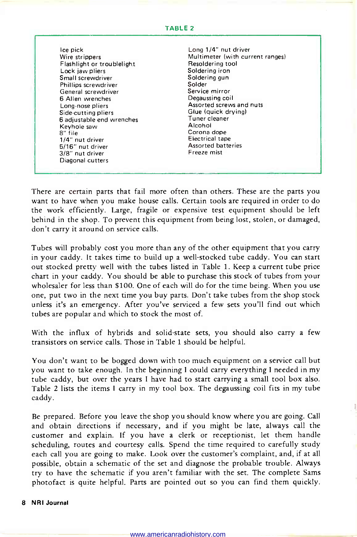#### TABLE <sup>2</sup>

Ice pick Wire strippers Flashlight or troublelight Lock jaw pliers Small screwdriver Phillips screwdriver General screwdriver 6 Allen wrenches Long -nose pliers Side -cutting pliers 6 adjustable end wrenches Keyhole saw 8" file 1/4" nut driver 5/16" nut driver 3/8" nut driver Diagonal cutters

Long 1/4" nut driver Multimeter (with current ranges) Resoldering tool Soldering iron Soldering gun Solder Service mirror Degaussing coil Assorted screws and nuts Glue (quick drying) Tuner cleaner Alcohol Corona dope Electrical tape Assorted batteries Freeze mist

ŋ

There are certain parts that fail more often than others. These are the parts you want to have when you make house calls. Certain tools are required in order to do the work efficiently. Large, fragile or expensive test equipment should be left behind in the shop. To prevent this equipment from being lost, stolen, or damaged, don't carry it around on service calls.

Tubes will probably cost you more than any of the other equipment that you carry in your caddy. It takes time to build up a well -stocked tube caddy. You can start out stocked pretty well with the tubes listed in Table 1. Keep a current tube price chart in your caddy. You should be able to purchase this stock of tubes from your wholesaler for less than \$100. One of each will do for the time being. When you use one, put two in the next time you buy parts. Don't take tubes from the shop stock unless it's an emergency. After you've serviced a few sets you'll find out which tubes are popular and which to stock the most of.

With the influx of hybrids and solid-state sets, you should also carry a few transistors on service calls. Those in Table 1 should be helpful.

You don't want to be bogged down with too much equipment on a service call but you want to take enough. In the beginning I could carry everything I needed in my tube caddy, but over the years I have had to start carrying a small tool box also. Table 2 lists the items I carry in my tool box. The degaussing coil fits in my tube caddy.

Be prepared. Before you leave the shop you should know where you are going. Call and obtain directions if necessary, and if you might be late, always call the customer and explain. If you have a clerk or receptionist, let them handle scheduling, routes and courtesy calls. Spend the time required to carefully study each call you are going to make. Look over the customer's complaint, and, if at all possible, obtain a schematic of the set and diagnose the probable trouble. Always try to have the schematic if you aren't familiar with the set. The complete Sams photofact is quite helpful. Parts are pointed out so you can find them quickly.

#### 8 NRI Journal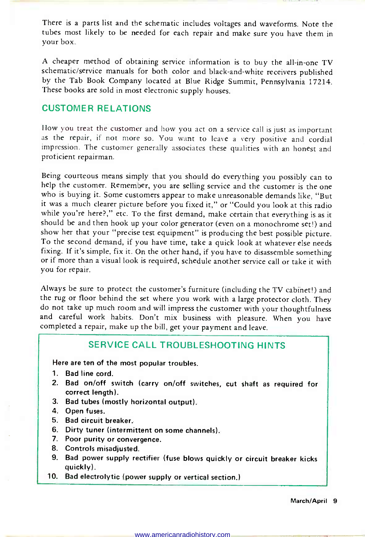There is a parts list and the schematic includes voltages and waveforms. Note the tubes most likely to be needed for each repair and make sure you have them in your box.

A cheaper method of obtaining service information is to buy the all-in-one TV schematic/service manuals for both color and black -and -white receivers published by the Tab Book Company located at Blue Ridge Summit, Pennsylvania 17214. These books are sold in most electronic supply houses.

### CUSTOMER RELATIONS

How you treat the customer and how you act on a service call is just as important as the repair, if not more so. You want to leave a very positive and cordial impression. The customer generally associates these qualities with an honest and proficient repairman.

Being courteous means simply that you should do everything you possibly can to help the customer. Remember, you are selling service and the customer is the one who is buying it. Some customers appear to make unreasonable demands like, "But it was a much clearer picture before you fixed it," or "Could you look at this radio while you're here?," etc. To the first demand, make certain that everything is as it should be and then hook up your color generator (even on a monochrome set!) and show her that your "precise test equipment" is producing the best possible picture. To the second demand, if you have time, take a quick look at whatever else needs fixing. If it's simple, fix it. On the other hand, if you have to disassemble something or if more than a visual look is required, schedule another service call or take it with you for repair.

Always be sure to protect the customer's furniture (including the TV cabinet!) and the rug or floor behind the set where you work with a large protector cloth. They do not take up much room and will impress the customer with your thoughtfulness and careful work habits. Don't mix business with pleasure. When you have completed a repair, make up the bill, get your payment and leave.

### SERVICE CALL TROUBLESHOOTING HINTS

Here are ten of the most popular troubles.

- 1. Bad line cord.
- 2. Bad on/off switch (carry on/off switches, cut shaft as required for correct length).
- 3. Bad tubes (mostly horizontal output).
- 4. Open fuses.
- 5. Bad circuit breaker.
- 6. Dirty tuner (intermittent on some channels).
- 7. Poor purity or convergence.
- 8. Controls misadjusted.
- 9. Bad power supply rectifier (fuse blows quickly or circuit breaker kicks quickly).
- 10. Bad electrolytic (power supply or vertical section.)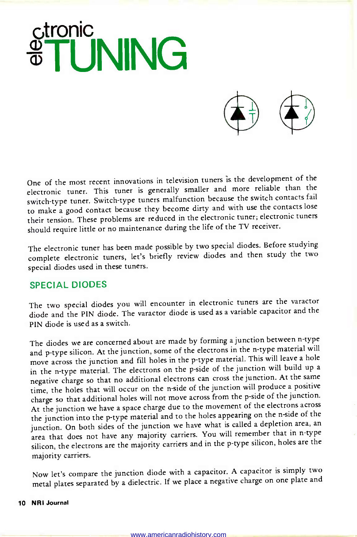



One of the most recent innovations in television tuners is the development of the electronic tuner. This tuner is generally smaller and more reliable than the switch -type tuner. Switch -type tuners malfunction because the switch contacts fail to make a good contact because they become dirty and with use the contacts lose their tension. These problems are reduced in the electronic tuner; electronic tuners should require little or no maintenance during the life of the TV receiver.

The electronic tuner has been made possible by two special diodes. Before studying complete electronic tuners, let's briefly review diodes and then study the two special diodes used in these tuners.

### SPECIAL DIODES

The two special diodes you will encounter in electronic tuners are the varactor diode and the PIN diode. The varactor diode is used as a variable capacitor and the PIN diode is used as a switch.

The diodes we are concerned about are made by forming a junction between n -type and p-type silicon. At the junction, some of the electrons in the n-type material will move across the junction and fill holes in the p -type material. This will leave a hole in the n-type material. The electrons on the p-side of the junction will build up a negative charge so that no additional electrons can cross the junction. At the same time, the holes that will occur on the n-side of the junction will produce a positive charge so that additional holes will not move across from the p -side of the junction. At the junction we have a space charge due to the movement of the electrons across the junction into the p-type material and to the holes appearing on the n-side of the junction. On both sides of the junction we have what is called a depletion area, an area that does not have any majority carriers. You will remember that in n-type silicon, the electrons are the majority carriers and in the p -type silicon, holes are the majority carriers.

Now let's compare the junction diode with a capacitor. A capacitor is simply two metal plates separated by a dielectric. If we place a negative charge on one plate and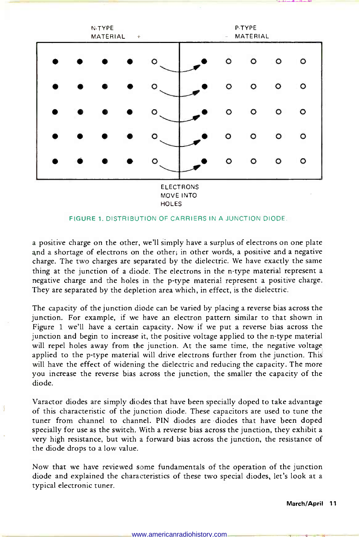

#### **HOLES**

### FIGURE 1. DISTRIBUTION OF CARRIERS IN A JUNCTION DIODE.

a positive charge on the other, we'll simply have a surplus of electrons on one plate and a shortage of electrons on the other; in other words, a positive and a negative charge. The two charges are separated by the dielectric. We have exactly the same thing at the junction of a diode. The electrons in the n -type material represent a negative charge and the holes in the p -type material represent a positive charge. They are separated by the depletion area which, in effect, is the dielectric.

The capacity of the junction diode can be varied by placing a reverse bias across the junction. For example, if we have an electron pattern similar to that shown in Figure 1 we'll have a certain capacity. Now if we put a reverse bias across the junction and begin to increase it, the positive voltage applied to the n-type material will repel holes away from the junction. At the same time, the negative voltage applied to the p-type material will drive electrons further from the junction. This will have the effect of widening the dielectric and reducing the capacity. The more you increase the reverse bias across the junction, the smaller the capacity of the diode.

Varactor diodes are simply diodes that have been specially doped to take advantage of this characteristic of the junction diode. These capacitors are used to tune the tuner from channel to channel. PIN diodes are diodes that have been doped specially for use as the switch. With a reverse bias across the junction, they exhibit a very high resistance, but with a forward bias across the junction, the resistance of the diode drops to a low value.

Now that we have reviewed some fundamentals of the operation of the junction diode and explained the characteristics of these two special diodes, let's look at a typical electronic tuner.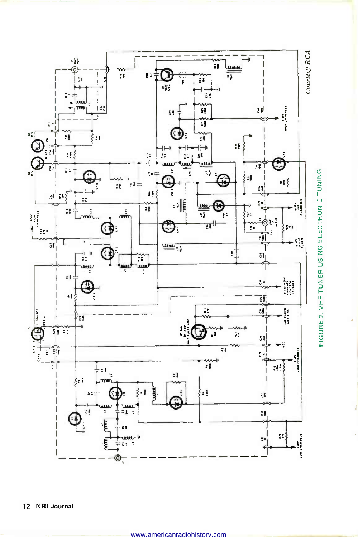

12 NRI Journal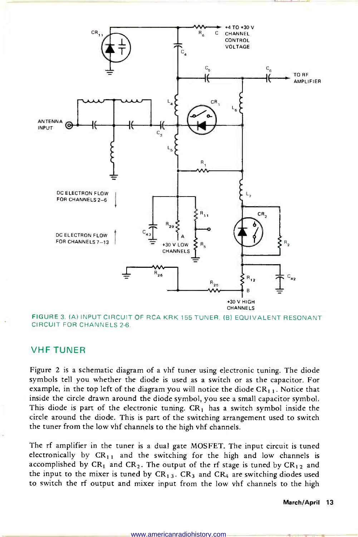

FIGURE 3. (A) INPUT CIRCUIT OF RCA KRK 155 TUNER. (B) EQUIVALENT RESONANT CIRCUIT FOR CHANNELS 2-6.

### VHF TUNER

Figure 2 is a schematic diagram of a vhf tuner using electronic tuning. The diode symbols tell you whether the diode is used as a switch or as the capacitor. For example, in the top left of the diagram you will notice the diode  $CR_{1,1}$ . Notice that inside the circle drawn around the diode symbol, you see a small capacitor symbol. This diode is part of the electronic tuning.  $CR<sub>1</sub>$  has a switch symbol inside the circle around the diode. This is part of the switching arrangement used to switch the tuner from the low vhf channels to the high vhf channels.

The rf amplifier in the tuner is a dual gate MOSFET. The input circuit is tuned electronically by  $CR_{11}$  and the switching for the high and low channels is accomplished by CR<sub>1</sub> and CR<sub>2</sub>. The output of the rf stage is tuned by CR<sub>12</sub> and the input to the mixer is tuned by  $CR_{13}$ .  $CR_3$  and  $CR_4$  are switching diodes used to switch the rf output and mixer input from the low vhf channels to the high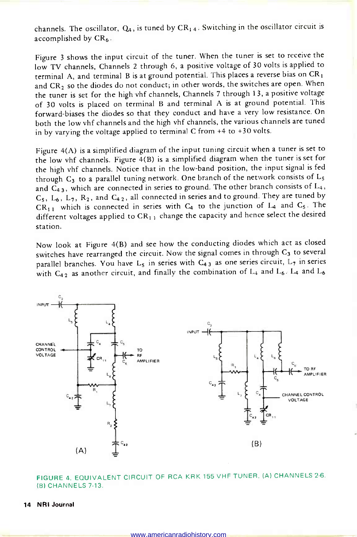channels. The oscillator,  $Q_4$ , is tuned by  $CR_{1,4}$ . Switching in the oscillator circuit is accomplished by  $CR<sub>6</sub>$ .

Figure 3 shows the input circuit of the tuner. When the tuner is set to receive the low TV channels, Channels 2 through 6, a positive voltage of 30 volts is applied to terminal A, and terminal B is at ground potential. This places a reverse bias on CR1 and  $CR_2$  so the diodes do not conduct; in other words, the switches are open. When the tuner is set for the high vhf channels, Channels 7 through 13, a positive voltage of 30 volts is placed on terminal B and terminal A is at ground potential. This forward -biases the diodes so that they conduct and have a very low resistance. On both the low vhf channels and the high vhf channels, the various channels are tuned in by varying the voltage applied to terminal C from +4 to +30 volts.

Figure 4(A) is a simplified diagram of the input tuning circuit when a tuner is set to the low vhf channels. Figure  $\tilde{4}(B)$  is a simplified diagram when the tuner is set for the high vhf channels. Notice that in the low -band position, the input signal is fed through  $C_3$  to a parallel tuning network. One branch of the network consists of  $L_5$ and  $C_{43}$ , which are connected in series to ground. The other branch consists of  $L_4$ ,  $C_5$ ,  $L_6$ ,  $L_7$ ,  $R_2$ , and  $C_{42}$ , all connected in series and to ground. They are tuned by  $CR_{11}$  which is connected in series with  $C_4$  to the junction of  $L_4$  and  $C_5$ . The different voltages applied to  $CR_{1,1}$  change the capacity and hence select the desired station.

Now look at Figure 4(B) and see how the conducting diodes which act as closed switches have rearranged the circuit. Now the signal comes in through  $C_3$  to several parallel branches. You have L<sub>5</sub> in series with  $C_{4,3}$  as one series circuit, L<sub>7</sub> in series with  $C_{42}$  as another circuit, and finally the combination of  $L_4$  and  $L_6$ .  $L_4$  and  $L_6$ 



FIGURE 4. EQUIVALENT CIRCUIT OF RCA KRK 155 VHF TUNER. (A) CHANNELS 2-6. (B) CHANNELS 7-13.

#### 14 NRI Journal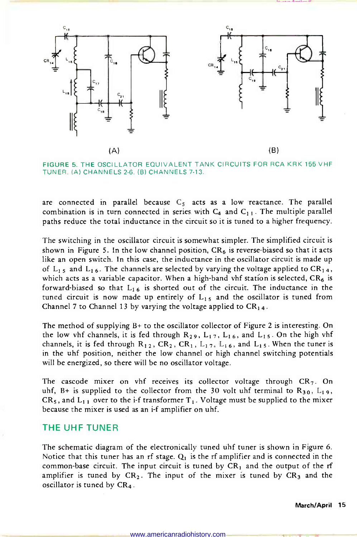

FIGURE 5. THE OSCILLATOR EQUIVALENT TANK CIRCUITS FOR RCA KRK 155 VHF TUNER. (A) CHANNELS 2-6. (B) CHANNELS 7-13.

are connected in parallel because  $C_5$  acts as a low reactance. The parallel combination is in turn connected in series with  $C_4$  and  $C_{11}$ . The multiple parallel paths reduce the total inductance in the circuit so it is tuned to a higher frequency.

The switching in the oscillator circuit is somewhat simpler. The simplified circuit is shown in Figure 5. In the low channel position,  $CR_6$  is reverse-biased so that it acts like an open switch. In this case, the inductance in the oscillator circuit is made up of L<sub>15</sub> and L<sub>16</sub>. The channels are selected by varying the voltage applied to CR<sub>14</sub>, which acts as a variable capacitor. When a high-band vhf station is selected,  $CR_6$  is forward-biased so that  $L_{16}$  is shorted out of the circuit. The inductance in the tuned circuit is now made up entirely of  $L_{15}$  and the oscillator is tuned from Channel 7 to Channel 13 by varying the voltage applied to  $CR_{14}$ .

The method of supplying B+ to the oscillator collector of Figure 2 is interesting. On the low vhf channels, it is fed through  $R_{29}$ ,  $L_{17}$ ,  $L_{16}$ , and  $L_{15}$ . On the high vhf channels, it is fed through  $R_{12}$ ,  $CR_2$ ,  $CR_1$ ,  $L_{17}$ ,  $L_{16}$ , and  $L_{15}$ . When the tuner is in the uhf position, neither the low channel or high channel switching potentials will be energized, so there will be no oscillator voltage.

The cascode mixer on vhf receives its collector voltage through  $CR<sub>7</sub>$ . On uhf, B+ is supplied to the collector from the 30 volt uhf terminal to  $R_{30}$ ,  $L_{19}$ ,  $CR_5$ , and  $L_{1,1}$  over to the i-f transformer  $T_1$ . Voltage must be supplied to the mixer because the mixer is used as an i-f amplifier on uhf.

### THE UHF TUNER

The schematic diagram of the electronically tuned uhf tuner is shown in Figure 6. Notice that this tuner has an rf stage.  $Q_1$  is the rf amplifier and is connected in the common-base circuit. The input circuit is tuned by  $CR<sub>1</sub>$  and the output of the rf amplifier is tuned by  $CR_2$ . The input of the mixer is tuned by  $CR_3$  and the oscillator is tuned by CR4.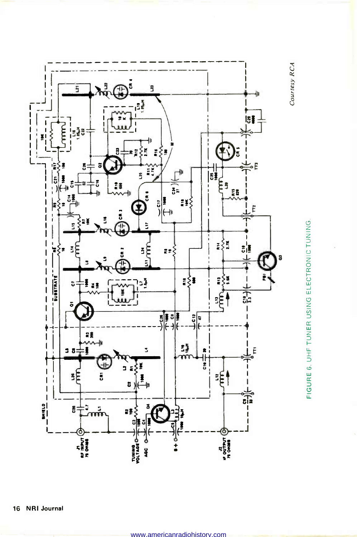

FIGURE 6. UHF TUNER USING ELECTRONIC TUNING.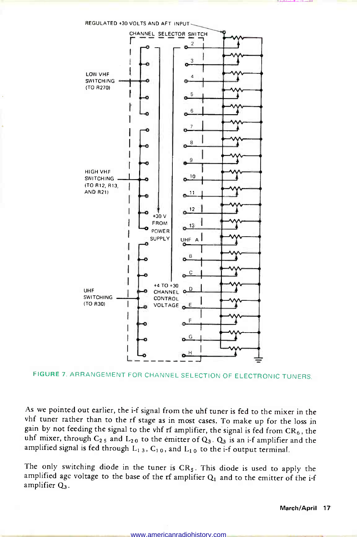

FIGURE 7. ARRANGEMENT FOR CHANNEL SELECTION OF ELECTRONIC TUNERS.

As we pointed out earlier, the i-f signal from the uhf tuner is fed to the mixer in the vhf tuner rather than to the rf stage as in most cases. To make up for the loss in gain by not feeding the signal to the vhf rf amplifier, the signal is fed from  $CR_6$ , the uhf mixer, through  $C_{2.5}$  and  $L_{2.0}$  to the emitter of  $Q_3$ .  $Q_3$  is an i-f amplifier and the amplified signal is fed through  $L_{1,3}$ ,  $C_{1,0}$ , and  $L_{1,0}$  to the i-f output terminal.

The only switching diode in the tuner is  $CR<sub>5</sub>$ . This diode is used to apply the amplified agc voltage to the base of the rf amplifier  $Q_1$  and to the emitter of the i-f amplifier  $Q_3$ .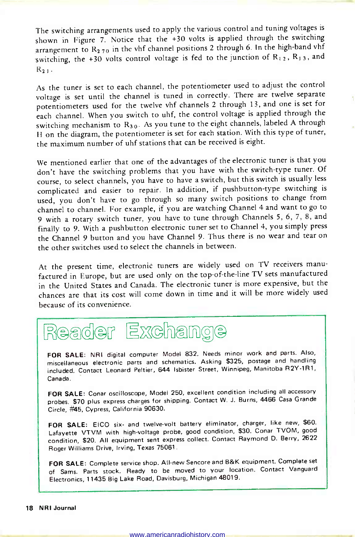The switching arrangements used to apply the various control and tuning voltages is shown in Figure 7. Notice that the +30 volts is applied through the switching arrangement to  $R_{2,70}$  in the vhf channel positions 2 through 6. In the high-band vhf switching, the +30 volts control voltage is fed to the junction of  $R_1$ ,  $R_1$ , and  $R_{21}$ .

As the tuner is set to each channel, the potentiometer used to adjust the control voltage is set until the channel is tuned in correctly. There are twelve separate potentiometers used for the twelve vhf channels 2 through 13, and one is set for each channel. When you switch to uhf, the control voltage is applied through the switching mechanism to  $R_{30}$ . As you tune to the eight channels, labeled A through <sup>H</sup>on the diagram, the potentiometer is set for each station. With this type of tuner, the maximum number of uhf stations that can be received is eight.

We mentioned earlier that one of the advantages of the electronic tuner is that you don't have the switching problems that you have with the switch -type tuner. Of course, to select channels, you have to have a switch, but this switch is usually less complicated and easier to repair. In addition, if pushbutton -type switching is used, you don't have to go through so many switch positions to change from channel to channel. For example, if you are watching Channel 4 and want to go to <sup>9</sup>with a rotary switch tuner, you have to tune through Channels 5, 6, 7, 8, and finally to 9. With a pushbutton electronic tuner set to Channel 4, you simply press the Channel 9 button and you have Channel 9. Thus there is no wear and tear on the other switches used to select the channels in between.

At the present time, electronic tuners are widely used on TV receivers manufactured in Europe, but are used only on the top -of -the -line TV sets manufactured in the United States and Canada. The electronic tuner is more expensive, but the chances are that its cost will come down in time and it will be more widely used because of its convenience.

### eader Exchange

FOR SALE: NRI digital computer Model 832. Needs minor work and parts. Also, miscellaneous electronic parts and schematics. Asking \$325, postage and handling included. Contact Leonard Peltier, 644 Isbister Street, Winnipeg, Manitoba R2Y-1R1, Canada.

FOR SALE: Conar oscilloscope, Model 250, excellent condition including all accessory probes. \$70 plus express charges for shipping. Contact W. J. Burns, 4466 Casa Grande Circle, #45, Cypress, California 90630.

FOR SALE: EICO six- and twelve-volt battery eliminator, charger, like new, \$60. Lafayette VTVM with high-voltage probe, good condition, \$30. Conar TVOM, good condition, \$20. All equipment sent express collect. Contact Raymond D. Berry, 2622 Roger Williams Drive, Irving, Texas 75061.

FOR SALE: Complete service shop. All-new Sencore and B&K equipment. Complete set of Sams. Parts stock. Ready to be moved to your location. Contact Vanguard Electronics, 11435 Big Lake Road, Davisburg, Michigan 48019.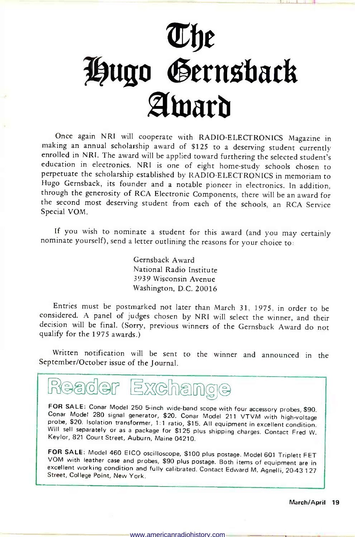# fie Hugo Gernsback Amard

Once again NRI will cooperate with RADIO-ELECTRONICS Magazine in making an annual scholarship award of \$125 to a deserving student currently enrolled in NRI. The award will be applied toward furthering the selected student's education in electronics. NRI is one of eight home -study schools chosen to perpetuate the scholarship established by RADIO-ELECTRONICS in memoriam to<br>Hugo Gernsback, its founder and a notable pioneer in electronics. In addition, through the generosity of RCA Electronic Components, there will be an award for the second most deserving student from each of the schools, an RCA Service Special VOM.

If you wish to nominate a student for this award (and you may certainly nominate yourself), send a letter outlining the reasons for your choice to:

Gernsback Award National Radio Institute 3939 Wisconsin Avenue Washington, D.C. 20016

Entries must be postmarked not later than March 31, 1975, in order to be considered. A panel of judges chosen by NRI will select the winner, and their decision will be final. (Sorry, previous winners of the Gernsback Award do not qualify for the 1975 awards.)

Written notification will be sent to the winner and announced in the September/October issue of the Journal.



FOR SALE: Conar Model 250 5-inch wide-band scope with four accessory probes, \$90.<br>Conar Model 280 signal generator, \$20. Conar Model 211 VTVM with high-voltage<br>probe, \$20. Isolation transformer, 1:1 ratio, \$15. All equipme

FOR SALE: Model 460 EICO oscilloscope, \$100 plus postage. Model 601 Triplett FET VOM with leather case and probes, \$90 plus postage. Both items of equipment are in excellent working condition and fully calibrated. Contact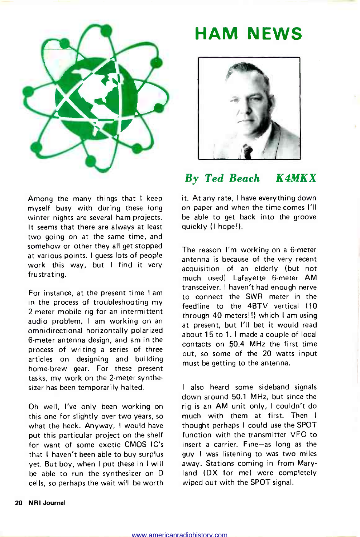

### Among the many things that I keep myself busy with during these long winter nights are several ham projects. It seems that there are always at least two going on at the same time, and somehow or other they all get stopped at various points. I guess lots of people work this way, but I find it very frustrating.

For instance, at the present time I am in the process of troubleshooting my <sup>2</sup>-meter mobile rig for an intermittent audio problem, I am working on an omnidirectional horizontally polarized 6 -meter antenna design, and am in the process of writing a series of three articles on designing and building home-brew gear. For these present tasks, my work on the 2 -meter synthesizer has been temporarily halted.

Oh well, I've only been working on this one for slightly over two years, so what the heck. Anyway, I would have put this particular project on the shelf for want of some exotic CMOS IC's that I haven't been able to buy surplus yet. But boy, when I put these in I will be able to run the synthesizer on D cells, so perhaps the wait will be worth

### HAM NEWS



### By Ted Beach K4MKX

it. At any rate, I have everything down on paper and when the time comes I'll be able to get back into the groove quickly (I hope!).

The reason I'm working on a 6-meter antenna is because of the very recent acquisition of an elderly (but not much used) Lafayette 6-meter AM transceiver. I haven't had enough nerve to connect the SWR meter in the feedline to the 4BTV vertical (10 through 40 meters!!) which I am using at present, but I'll bet it would read about 15 to 1. I made a couple of local contacts on 50.4 MHz the first time out, so some of the 20 watts input must be getting to the antenna.

<sup>I</sup>also heard some sideband signals down around 50.1 MHz, but since the rig is an AM unit only, I couldn't do much with them at first. Then I thought perhaps I could use the SPOT function with the transmitter VFO to insert a carrier. Fine-as long as the guy I was listening to was two miles away. Stations coming in from Maryland (DX for me) were completely wiped out with the SPOT signal.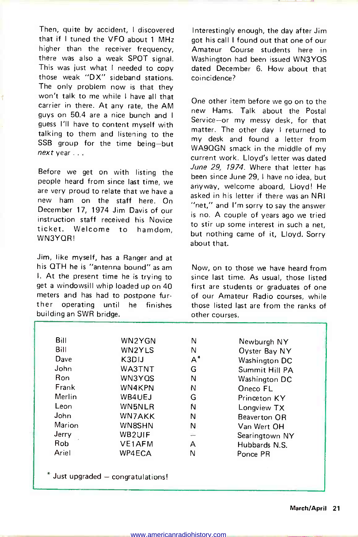Then, quite by accident, I discovered that if I tuned the VFO about 1 MHz higher than the receiver frequency there was also a weak SPOT signal. This was just what I needed to copy those weak "DX" sideband stations. The only problem now is that they won't talk to me while I have all that carrier in there. At any rate, the AM guys on 50.4 are a nice bunch and I guess I'll have to content myself with talking to them and listening to the SSB group for the time being-but next year ...

Before we get on with listing the people heard from since last time, we are very proud to relate that we have a new ham on the staff here. On December 17, 1974 Jim Davis of our instruction staff received his Novice ticket. Welcome to hamdom, WN3YQR!

Jim, like myself, has a Ranger and at his QTH he is "antenna bound" as am I. At the present time he is trying to get a windowsill whip loaded up on 40 meters and has had to postpone further operating until he finishes building an SWR bridge.

Interestingly enough, the day after Jim got his call I found out that one of our Amateur Course students here in Washington had been issued WN3YQS dated December 6. How about that coincidence?

One other item before we go on to the new Hams. Talk about the Postal Service-or my messy desk, for that matter. The other day I returned to my desk and found a letter from WA9QGN smack in the middle of my current work. Lloyd's letter was dated June 29, 1974. Where that letter has been since June 29, I have no idea, but anyway, welcome aboard, Lloyd! He asked in his letter if there was an NRI "net," and I'm sorry to say the answer is no. A couple of years ago we tried to stir up some interest in such a net, but nothing came of it, Lloyd. Sorry about that.

Now, on to those we have heard from since last time. As usual, those listed first are students or graduates of one of our Amateur Radio courses, while those listed last are from the ranks of other courses.

| Bill   | WN2YGN | N     | Newburgh NY    |
|--------|--------|-------|----------------|
| Bill   | WN2YLS | N     | Oyster Bay NY  |
| Dave   | K3DIJ  | $A^*$ | Washington DC  |
| John   | WA3TNT | G     | Summit Hill PA |
| Ron    | WN3YOS | N     | Washington DC  |
| Frank  | WN4KPN | Ν     | Oneco FL       |
| Merlin | WB4UEJ | G     | Princeton KY   |
| Leon   | WN5NLR | N     | Longview TX    |
| John   | WN7AKK | N     | Beaverton OR   |
| Marion | WN8SHN | N     | Van Wert OH    |
| Jerry  | WB2UIF |       | Searingtown NY |
| Rob.   | VE1AFM | А     | Hubbards N.S.  |
| Ariel  | WP4ECA | N     | Ponce PR       |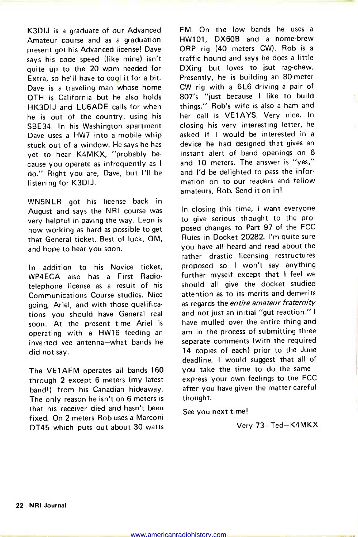K3DIJ is a graduate of our Advanced Amateur course and as a graduation present got his Advanced license! Dave says his code speed (like mine) isn't quite up to the 20 wpm needed for Extra, so he'll have to cool it for a bit. Dave is a traveling man whose home QTH is California but he also holds HK3DIJ and LU6ADE calls for when he is out of the country, using his SBE34. In his Washington apartment Dave uses a HW7 into a mobile whip stuck out of a window. He says he has yet to hear K4MKX, "probably be cause you operate as infrequently as I do." Right you are, Dave, but I'll be listening for K3DIJ.

WN5NLR got his license back in August and says the NRI course was very helpful in paving the way. Leon is now working as hard as possible to get that General ticket. Best of luck, OM, and hope to hear you soon.

In addition to his Novice ticket, WP4ECA also has a First Radiotelephone license as a result of his Communications Course studies. Nice going, Ariel, and with those qualifications you should have General real soon. At the present time Ariel is operating with a HW16 feeding an inverted vee antenna-what bands he did not say.

The VE1AFM operates all bands 160 through 2 except 6 meters (my latest band!) from his Canadian hideaway. The only reason he isn't on 6 meters is that his receiver died and hasn't been fixed. On 2 meters Rob uses a Marconi DT45 which puts out about 30 watts FM. On the low bands he uses a HW101, DX60B and a home-brew QRP rig (40 meters CW). Rob is a traffic hound and says he does a little DXing but loves to isut rag-chew. Presently, he is building an 80-meter CW rig with a 6L6 driving a pair of 807's "just because I like to build things." Rob's wife is also a ham and her call is VE1AYS. Very nice. In closing his very interesting letter, he asked if I would be interested in <sup>a</sup>device he had designed that gives an instant alert of band openings on 6 and 10 meters. The answer is "yes," and I'd be delighted to pass the information on to our readers and fellow amateurs, Rob. Send it on in!

In closing this time, I want everyone to give serious thought to the proposed changes to Part 97 of the FCC Rules in Docket 20282. I'm quite sure you have all heard and read about the rather drastic licensing restructures proposed so I won't say anything further myself except that I feel we should all give the docket studied attention as to its merits and demerits as regards the entire amateur fraternity and not just an initial "gut reaction." I<br>have mulled over the entire thing and am in the process of submitting three separate comments (with the required 14 copies of each) prior to the June deadline. I would suggest that all of you take the time to do the sameexpress your own feelings to the FCC after you have given the matter careful thought.

See you next time!

Very 73-Ted-K4MKX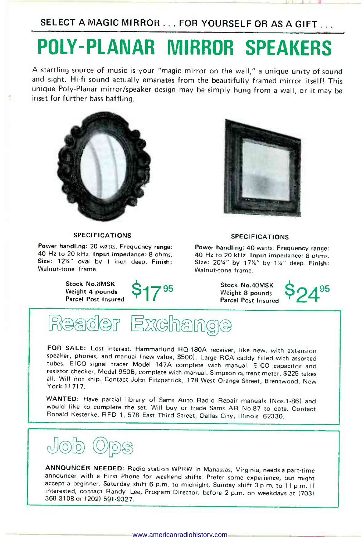SELECT A MAGIC MIRROR . . . FOR YOURSELF OR AS A GIFT...

### POLY -PLANAR MIRROR SPEAKERS

A startling source of music is your "magic mirror on the wall," a unique unity of sound and sight. Hi-fi sound actually emanates from the beautifully framed mirror itself! This unique Poly -Planar mirror/speaker design may be simply hung from a wall, or it may be inset for further bass baffling.



#### **SPECIFICATIONS**

Power handling: 20 watts. Frequency range: 40 Hz to 20 kHz. Input impedance: 8 ohms. Size: 12%" oval by 1 inch deep. Finish: Walnut-tone frame.

> Stock No.8MSK Weight 4 pounds Parcel Post Insured





#### **SPECIFICATIONS**

Power handling: 40 watts. Frequency range: 40 Hz to 20 kHz. Input impedance: 8 ohms. Size: 2014" by 1714" by 114" deep. Finish: Walnut-tone frame.

> Stock No.40MSK Weight 8 pounds P24<sup>95</sup><br>Parcel Post Insured

### aader Exchange

FOR SALE: Lost interest. Hammarlund HQ-180A receiver, like new, with extension speaker, phones, and manual (new value, \$500). Large RCA caddy filled with assorted resistor checker, Model 950B, complete with manual. Simpson current meter. \$225 takes all. Will not ship. Contact John Fitzpatrick, 178 West Orange Street, Brentwood, New<br>York 11717.

WANTED: Have partial library of Sams Auto Radio Repair manuals (Nos.1-86) and would like to complete the set. Will buy or trade Sams AR No.87 to date. Contact Ronald Kesterke, RFD 1, 578 East Third Street, Dallas City, Illinois 62330.



ANNOUNCER NEEDED: Radio station WPRW in Manassas, Virginia, needs a part-time announcer with a First Phone for weekend shifts. Prefer some experience, but might accept a beginner. Saturday shift 6 p.m. to midnight, Sunday interested, contact Randy Lee, Program Director, before 2 p.m. on weekdays at (703) 368-3108 or (202) 591-9327.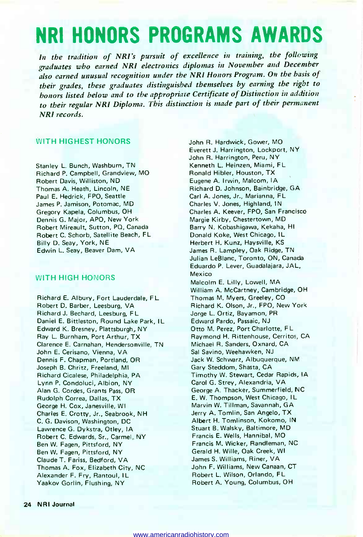### NRI HONORS PROGRAMS AWARDS

In the tradition of NRI's pursuit of excellence in training, the following graduates who earned NRI electronics diplomas in November and December also earned unusual recognition under the NRI Honors Program. On the basis of their grades, these graduates distinguished themselves by earning the rigbt to honors listed below and to the appropriate Certificate of Distinction in addition to their regular NRI Diploma. This distinction is made part of their permanent NRI records.

### WITH HIGHEST HONORS

Stanley L. Bunch, Washburn, TN Richard P. Campbell, Grandview, MO Robert Davis, Williston, ND Thomas A. Heath, Lincoln, NE Paul E. Hedrick, FPO, Seattle James P. Jamison, Potomac, MD Gregory Kapela, Columbus, OH Dennis G. Major, APO, New York Robert Mireault, Sutton, PO, Canada Robert C. Schorb, Satellite Beach, FL Billy D. Seay, York, NE Edwin L. Seay, Beaver Dam, VA

### WITH HIGH HONORS

Richard E. Albury, Fort Lauderdale, FL Robert D. Barber, Leesburg, VA Richard J. Bechard, Leesburg, FL Daniel E. Bittleston, Round Lake Park, IL Edward K. Bresney, Plattsburgh, NY Ray L. Burnham, Port Arthur, TX Clarence E. Carnahan, Hendersonville, TN John E. Cerisano, Vienna, VA Dennis F. Chapman, Portland, OR Joseph B. Chritz, Freeland, MI Richard Cicalese, Philadelphia, PA Lynn P. Condoluci, Albion, NY Alan G. Cordes, Grants Pass, OR Rudolph Correa, Dallas, TX George H. Cox, Janesville, WI Charles E. Crotty, Jr., Seabrook, NH C. G. Davison, Washington, DC Lawrence G. Dykstra, Otley, IA Robert C. Edwards, Sr., Carmel, NY Ben W. Fagen, Pittsford, NY Ben W. Fagen, Pittsford, NY Claude T. Fariss, Bedford, VA Thomas A. Fox, Elizabeth City, NC Alexander F. Fry, Rantoul, IL Yaakov Gorlin, Flushing, NY

John R. Hardwick, Gower, MO Everett J. Harrington, Lockport, NY John R. Harrington, Peru, NY Kenneth L. Heinzen, Miami, FL Ronald Hibler, Houston, TX Eugene A. Irwin, Malcom, IA Richard D. Johnson, Bainbridge, GA Carl A. Jones, Jr., Marianna, FL Charles V. Jones, Highland, IN Charles A. Keever, FPO, San Francisco Margie Kirby, Chestertown, MD Barry N. Kobashigawa, Kekaha, HI Donald Koke, West Chicago, IL Herbert H. Kunz, Haysville, KS James R. Lampley, Oak Ridge, TN Julian LeBlanc, Toronto, ON, Canada Eduardo P. Lever, Guadalajara, JAL, Mexico Malcolm E. Lilly, Lowell, MA William A. McCartney, Cambridge, OH Thomas M. Myers, Greeley, CO Richard K. Olson, Jr., FPO, New York Jorge L. Ortiz, Bayamon, PR Edward Pardo, Passaic, NJ Otto M. Perez, Port Charlotte, FL Raymond H. Rittenhouse, Cerritos, CA Michael R. Sanders, Oxnard, CA Sal Savino, Weehawken, NJ Jack W. Schwarz, Albuquerque, NM Gary Steddom, Shasta, CA Timothy W. Stewart, Cedar Rapids, IA Carol G. Strey, Alexandria, VA George A. Thacker, Summerfield, NC E. W. Thompson, West Chicago, IL Marvin W. Tillman, Savannah, GA Jerry A. Tomlin, San Angelo, TX Albert H. Tomlinson, Kokomo, IN Stuart B. Walsky, Baltimore, MD Francis E. Wells, Hannibal, MO Francis M. Wicker, Randleman, NC Gerald H. Wille, Oak Creek, WI James S. Williams, Riner, VA John F. Williams, New Canaan, CT Robert L. Wilson, Orlando, FL Robert A. Young, Columbus, OH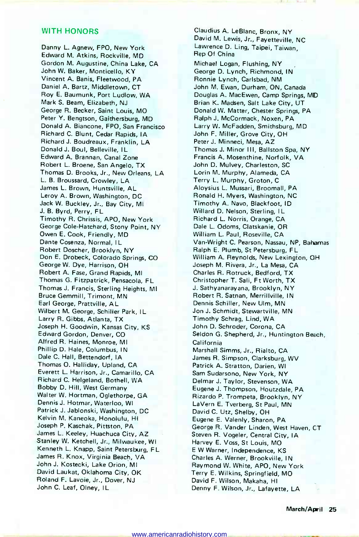### WITH HONORS

Danny L. Agnew, FPO, New York Edward M. Atkins, Rockville, MD Gordon M. Augustine, China Lake, CA John W. Baker, Monticello, KY Vincent A. Banis, Fleetwood, PA Daniel A. Bartz, Middletown, CT Roy E. Baumunk, Port Ludlow, WA Mark S. Beam, Elizabeth, NJ George R. Becker, Saint Louis, MO Peter Y. Bengtson, Gaithersburg, MD Donald A. Biancone, FPO, San Francisco Richard C. Blunt, Cedar Rapids, IA Richard J. Boudreaux, Franklin, LA Donald J. Boul, Belleville, IL Edward A. Brannan, Canal Zone Robert L. Broene, San Angelo, TX Thomas D. Brooks, Jr., New Orleans, LA L. B. Broussard, Crowley, LA James L. Brown, Huntsville, AL Leroy A. Brown, Washington, DC Jack W. Buckley, Jr., Bay City, MI J. B. Byrd, Perry, FL Timothy R. Chrissis, APO, New York George Cole-Hatchard, Stony Point, NY Owen E. Cook, Friendly, MD Dante Cosenza, Normal, IL Robert Doscher, Brooklyn, NY Don E. Drobeck, Colorado Springs, CO George W. Dye, Harrison, OH Robert A. Fase, Grand Rapids, MI Thomas G. Fitzpatrick, Pensacola, FL Thomas J. Francis, Sterling Heights, MI Bruce Gemmill, Trimont, MN Earl George, Prattville, AL Wilbert M. George, Schiller Park, IL Larry R. Gibbs, Atlanta, TX Joseph H. Goodwin, Kansas City, KS Edward Gordon, Denver, CO Alfred R. Haines, Monroe, MI Phillip D. Hale, Columbus, IN Dale C. Hall, Bettendorf, IA Thomas O. Halliday, Upland, CA Everett L. Harrison, Jr., Camarillo, CA Richard C. Helgeland, Bothell, WA Bobby D. Hill, West Germany Walter W. Hortman, Oglethorpe, GA Dennis J. Hotmar, Waterloo, WI Patrick J. Jablonski, Washington, DC Kelvin M. Kaneoka, Honolulu, HI Joseph P. Kaschak, Pittston, PA James L. Keeley, Huachuca City, AZ Stanley W. Ketchell, Jr., Milwaukee, WI Kenneth L. Knapp, Saint Petersburg, FL James R. Knox, Virginia Beach, VA John J. Kostecki, Lake Orion, MI David Laukat, Oklahoma City, OK Roland F. Lavoie, Jr., Dover, NJ John C. Leaf, Olney, IL

Claudius A. LeBlanc, Bronx, NY David M. Lewis, Jr., Fayetteville, NC Lawrence D. Ling, Taipei, Taiwan, Rep Of China

Michael Logan, Flushing, NY George D. Lynch, Richmond, IN Ronnie Lynch, Carlsbad, NM John M. Ewan, Durham, ON, Canada Douglas A. MacEwen, Camp Springs, MD Brian K. Madsen, Salt Lake City, UT Donald W. Matter, Chester Springs, PA Ralph J. McCormack, Noxen, PA Larry W. McFadden, Smithsburg, MD John F. Miller, Grove City, OH Peter J. Minneci, Mesa, AZ Thomas J. Minor Ill, Ballston Spa, NY Francis A. Mosenthine, Norfolk, VA John D. Mulvey, Charleston, SC Lorin M. Murphy, Alameda, CA Terry L. Murphy, Groton, C Aloysius L. Mussari, Broomall, PA Ronald H. Myers, Washington, NC Timothy A. Navo, Blackfoot, ID Willard D. Nelson, Sterling, IL Richard L. Norris, Orange, CA Dale L. Odoms, Clatskanie, OR William L. Paul, Roseville, CA Van -Wright C. Pearson, Nassau, NP, Bahamas Ralph E. Plumb, St Petersburg, FL William A. Reynolds, New Lexington, OH Joseph M. Rivera, Jr., La Mesa, CA Charles R. Rotruck, Bedford, TX Christopher T. Sali, Ft Worth, TX J. Sathyanarayana, Brooklyn, NY Robert R. Satnan, Merrillville, IN Dennis Schiller, New Ulm, MN Jon J. Schmidt, Stewartville, MN Timothy Schrag, Lind, WA John D. Schroder, Corona, CA Seldon G. Shepherd, Jr., Huntington Beach, California Marshall Simms, Jr., Rialto, CA James R. Simpson, Clarksburg, WV Patrick A. Stratton, Darien, WI Sam Sudarsono, New York, NY Delmar J. Taylor, Stevenson, WA Eugene J. Thompson, Houtzdale, PA Rizardo P. Trompeta, Brooklyn, NY LaVern E. Tverberg, St Paul, MN David C. Utz, Shelby, OH Eugene E. Valenly, Sharon, PA George R. Vander Linden, West Haven, CT Steven R. Vogeler, Central City, IA Harvey E. Voss, St Louis, MO <sup>E</sup>W Warner, Independence, KS Charles A. Werner, Brookville, IN Raymond W. White, APO, New York Terry E. Wilkins, Springfield, MO David F. Wilson, Makaha, HI Denny F. Wilson, Jr., Lafayette, LA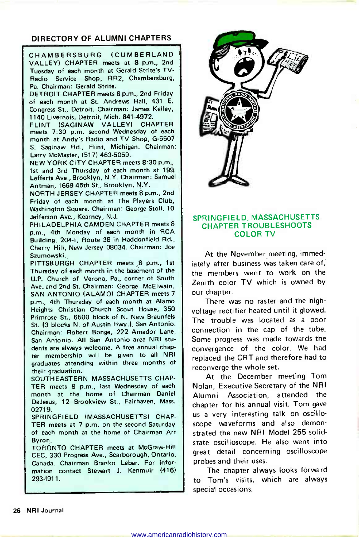### DIRECTORY OF ALUMNI CHAPTERS

CHAMBERSBURG (CUMBERLAND VALLEY) CHAPTER meets at 8 p.m., 2nd Tuesday of each month at Gerald Strite's TV-Radio Service Shop, RR2, Chambersburg, Pa. Chairman: Gerald Strite.

DETROIT CHAPTER meets 8 p.m., 2nd Friday of each month at St. Andrews Hall, 431 E. Congress St., Detroit. Chairman: James Kelley, 1140 Livernois, Detroit, Mich. 841-4972.

FLINT (SAGINAW VALLEY) CHAPTER meets 7:30 p.m. second Wednesday of each month at Andy's Radio and TV Shop, G-5507 S. Saginaw Rd., Flint, Michigan. Chairman: Larry McMaster, (517) 463-5059.

NEW YORK CITY CHAPTER meets 8:30 p.m., 1st and 3rd Thursday of each month at 199 Lefferts Ave., Brooklyn, N.Y. Chairman: Samuel Antman, 1669 45th St., Brooklyn, N.Y.

NORTH JERSEY CHAPTER meets 8 p.m., 2nd Friday of each month at The Players Club, Washington Square. Chairman: George Stoll, 10 Jefferson Ave., Kearney, N.J.

PHILADELPHIA -CAMDEN CHAPTER meets 8 p.m., 4th Monday of each month in RCA Building, 204-I, Route 38 in Haddonfield Rd., Cherry Hill, New Jersey 08034. Chairman: Joe Szumowski.

PITTSBURGH CHAPTER meets 8 p.m., 1st Thursday of each month in the basement of the U.P. Church of Verona, Pa., corner of South Ave. and 2nd St. Chairman: George McElwain. SAN ANTONIO (ALAMO) CHAPTER meets 7 p.m., 4th Thursday of each month at Alamo Heights Christian Church Scout House, 350 Primrose St., 6500 block of N. New Braunfels St. (3 blocks N. of Austin Hwy.), San Antonio. Chairman: Robert Bonge, 222 Amador Lane, San Antonio. All San Antonio area NRI students are always welcome. A free annual chapter membership will be given to all NRI graduates attending within three months of their graduation.

SOUTHEASTERN MASSACHUSETTS CHAP-TER meets 8 p.m., last Wednesday of each month at the home of Chairman Daniel DeJesus, 12 Brookview St., Fairhaven, Mass. 02719.

SPRINGFIELD (MASSACHUSETTS) CHAP-TER meets at 7 p.m. on the second Saturday of each month at the home of Chairman Art Byron.

TORONTO CHAPTER meets at McGraw-Hill CEC, 330 Progress Ave., Scarborough, Ontario, Canada. Chairman Branko Lebar. For information contact Stewart J. Kenmuir (416) 293-1911.



### SPRINGFIELD, MASSACHUSETTS CHAPTER TROUBLESHOOTS COLOR TV

At the November meeting, immediately after business was taken care of, the members went to work on the Zenith color TV which is owned by our chapter.

There was no raster and the highvoltage rectifier heated until it glowed. The trouble was located as a poor connection in the cap of the tube. Some progress was made towards the convergence of the color. We had replaced the CRT and therefore had to reconverge the whole set.

At the December meeting Tom Nolan, Executive Secretary of the NRI Alumni Association, attended the chapter for his annual visit. Tom gave<br>us a very interesting talk on oscilloscope waveforms and also demonstrated the new NRI Model 255 solidstate oscilloscope. He also went into great detail concerning oscilloscope probes and their uses.

The chapter always looks forward to Tom's visits, which are always special occasions.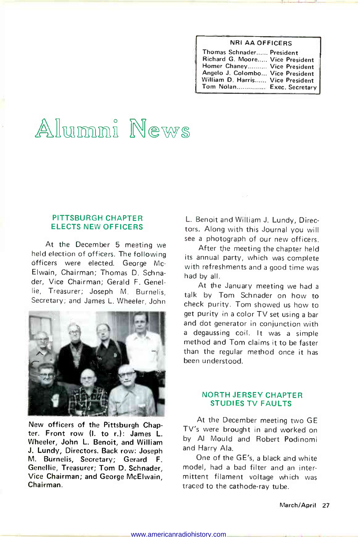### NRI AA OFFICERS

| Thomas Schnader President        |  |
|----------------------------------|--|
| Richard G. Moore Vice President  |  |
| Homer Chaney Vice President      |  |
| Angelo J. Colombo Vice President |  |
| William D. Harris Vice President |  |
| Tom Nolan Exec. Secretary        |  |

# Allummi News

### PITTSBURGH CHAPTER ELECTS NEW OFFICERS

At the December 5 meeting we held election of officers. The following officers were elected. George Mc-Elwain, Chairman; Thomas D. Schnader, Vice Chairman; Gerald F. Genellie, Treasurer; Joseph M. Burnelis, Secretary; and James L. Wheeler, John



New officers of the Pittsburgh Chapter. Front row (I. to r.): James L. Wheeler, John L. Benoit, and William J. Lundy, Directors. Back row: Joseph M. Burnelis, Secretary; Gerard F. Genellie, Treasurer; Tom D. Schnader, Vice Chairman; and George McElwain, Chairman.

L. Benoit and William J. Lundy, Directors. Along with this Journal you will see a photograph of our new officers.

After the meeting the chapter held its annual party, which was complete with refreshments and a good time was had by all.

At the January meeting we had a talk by Tom Schnader on how to check purity. Tom showed us how to get purity in a color TV set using a bar and dot generator in conjunction with a degaussing coil. It was a simple method and Tom claims it to be faster than the regular method once it has been understood.

### NORTH JERSEY CHAPTER STUDIES TV FAULTS

At the December meeting two GE TV's were brought in and worked on by Al Mould and Robert Podinomi and Harry Ala.

One of the GE's, a black and white model, had a bad filter and an intermittent filament voltage which was traced to the cathode-ray tube.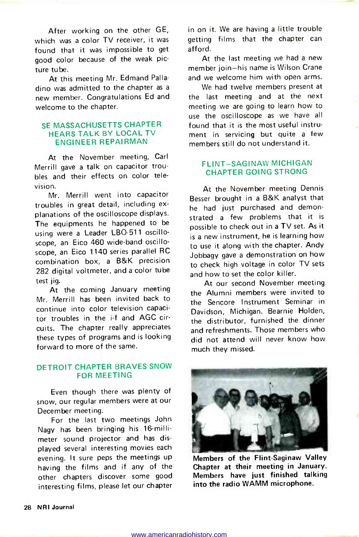After working on the other GE, which was a color TV receiver, it was found that it was impossible to get good color because of the weak picture tube.

At this meeting Mr. Edmand Palladino was admitted to the chapter as a new member. Congratulations Ed and welcome to the chapter.

### SE MASSACHUSETTS CHAPTER HEARS TALK BY LOCAL TV ENGINEER REPAIRMAN

At the November meeting, Carl Merrill gave a talk on capacitor troubles and their effects on color television.

Mr. Merrill went into capacitor troubles in great detail, including ex planations of the oscilloscope displays. The equipments he happened to be using were a Leader LBO-511 oscilloscope, an Eico 460 wide-band oscilloscope, an Eico 1140 series parallel RC combination box, a B&K precision 282 digital voltmeter, and a color tube test jig.

At the coming January meeting Mr. Merrill has been invited back to continue into color television capacitor troubles in the i-f and AGC circuits. The chapter really appreciates these types of programs and is looking forward to more of the same.

### DETROIT CHAPTER BRAVES SNOW FOR MEETING

Even though there was plenty of snow, our regular members were at our December meeting.

For the last two meetings John Nagy has been bringing his 16-millimeter sound projector and has displayed several interesting movies each evening. It sure peps the meetings up having the films and if any of the other chapters discover some good interesting films, please let our chapter

in on it. We are having a little trouble getting films that the chapter can afford.

At the last meeting we had a new member join-his name is Wilson Crane and we welcome him with open arms.

We had twelve members present at the last meeting and at the next meeting we are going to learn how to use the oscilloscope as we have all found that it is the most useful instrument in servicing but quite a few members still do not understand it.

### FLINT-SAGINAW MICHIGAN CHAPTER GOING STRONG

At the November meeting Dennis Besser brought in a B&K analyst that he had just purchased and demonstrated a few problems that it is possible to check out in a TV set. As it is a new instrument, he is learning how to use it along with the chapter. Andy Jobbagy gave a demonstration on how to check high voltage in color TV sets and how to set the color killer.

At our second November meeting the Alumni members were invited to the Sencore Instrument Seminar in Davidson, Michigan. Bearnie Holden, the distributor, furnished the dinner and refreshments. Those members who did not attend will never know how much they missed.



Members of the Flint-Saginaw Valley Chapter at their meeting in January. Members have just finished talking into the radio WAMM microphone.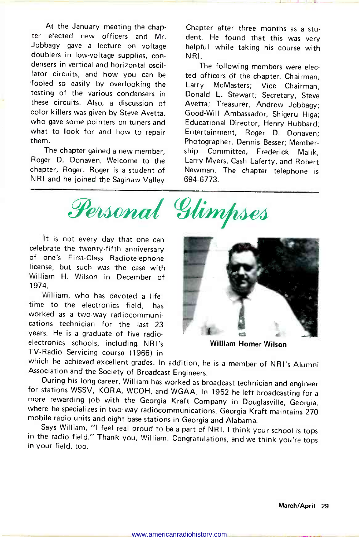At the January meeting the chapter elected new officers and Mr. Jobbagy gave a lecture on voltage doublers in low -voltage supplies, condensers in vertical and horizontal oscillator circuits, and how you can be fooled so easily by overlooking the testing of the various condensers in these circuits. Also, a discussion of color killers was given by Steve Avetta, who gave some pointers on tuners and what to look for and how to repair them.

The chapter gained a new member, Roger D. Donaven. Welcome to the chapter, Roger. Roger is a student of NRI and he joined the Saginaw Valley Chapter after three months as a student. He found that this was very helpful while taking his course with NRI.

The following members were elected officers of the chapter. Chairman, Larry McMasters; Vice Chairman, Donald L. Stewart; Secretary, Steve Avetta; Treasurer, Andrew Jobbagy; Good -Will Ambassador, Shigeru Higa; Educational Director, Henry Hubbard; Entertainment, Roger D. Donaven; Photographer, Dennis Besser; Membership Committee, Frederick Malik, Larry Myers, Cash Laferty, and Robert Newman. The chapter telephone is 694-6773.

Personal Glimpses

It is not every day that one can celebrate the twenty-fifth anniversary of one's First -Class Radiotelephone license, but such was the case with William H. Wilson in December of 1974.

William, who has devoted a lifetime to the electronics field, has worked as a two-way radiocommunications technician for the last 23 years. He is a graduate of five radioelectronics schools, including NRI's TV-Radio Servicing course (1966) in



William Homer Wilson

which he achieved excellent grades. In addition, he is a member of NRI's Alumni Association and the Society of Broadcast Engineers.<br>During his long career, William has worked as broadcast technician and engineer

for stations WSSV, KORA, WCOH, and WGAA. In 1952 he left broadcasting for a more rewarding job with the Georgia Kraft Company in Douglasville, Georgia, where he specializes in two-way radiocommunications. Georgia Kraft mai mobile radio units and eight base stations in Georgia and Alabama.

Says William, "I feel real proud to be a part of NRI. I think your school is tops in the radio field." Thank you, William. Congratulations, and we think you're tops in your field, too.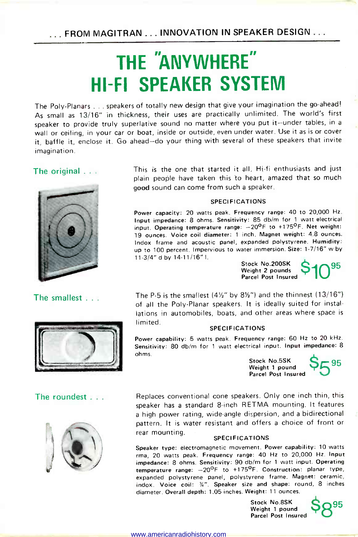## THE "ANYWHERE" HI-FI SPEAKER SYSTEM

The Poly -Planars ... speakers of totally new design that give your imagination the go-ahead! As small as 13/16" in thickness, their uses are practically unlimited. The world's first speaker to provide truly superlative sound no matter where you put it-under tables, in <sup>a</sup>wall or ceiling, in your car or boat, inside or outside, even under water. Use it as is or cover it, baffle it, enclose it. Go ahead-do your thing with several of these speakers that invite imagination.

### The original ...



The smallest ...



### The roundest . . .



This is the one that started it all. Hi-fi enthusiasts and just plain people have taken this to heart, amazed that so much good sound can come from such a speaker.

### SPECIFICATIONS

Power capacity: 20 watts peak. Frequency range: 40 to 20,000 Hz. Input impedance: 8 ohms. Sensitivity: 85 db/m for 1 watt electrical input. Operating temperature range:  $-20^{\circ}$ F to +175°F. Net weight: 19 ounces. Voice coil diameter: 1 inch. Magnet weight: 4.8 ounces. Indox frame and acoustic panel, expanded polystyrene. Humidity: up to 100 percent. Impervious to water immersion. Size: 1-7/16" w by 11-3/4" d by 14-11/16" l.

Stock No.200SK<br>Weight 2 pounds  $$10^{95}$ Parcel Post Insured

The P-5 is the smallest  $(4\frac{1}{2}$ " by  $8\frac{1}{2}$ ") and the thinnest  $(13/16")$ of all the Poly -Planar speakers. It is ideally suited for installations in automobiles, boats, and other areas where space is limited.

#### SPECIFICATIONS

Power capability: 5 watts peak. Frequency range: 60 Hz to 20 kHz. Sensitivity: 80 db/m for 1 watt electrical input. Input impedance: 8 ohms.

> Stock No.5SK  $S \subseteq 95$ Weight 1 pound Parcel Post Insured

Replaces conventional cone speakers. Only one inch thin, this speaker has a standard 8 -inch RETMA mounting. It features a high power rating, wide-angle dispersion, and a bidirectional pattern. It is water resistant and offers a choice of front or rear mounting. SPECIFICATIONS

Speaker type: electromagnetic movement. Power capability: 10 watts rma, 20 watts peak. Frequency range: 40 Hz to 20,000 Hz. Input impedance: 8 ohms. Sensitivity: 90 db/m for 1 watt input. Operating temperature range:  $-20^{\circ}$ F to  $+175^{\circ}$ F. Construction: planar type, expanded polystyrene panel, polystyrene frame. Magnet: ceramic, indox. Voice coil: %". Speaker size and shape: round, 8 inches diameter. Overall depth: 1.05 inches. Weight: 11 ounces.

> Stock No.8SK<br>Weight 1 pound Weight 1 pound<br>Parcel Post Insured

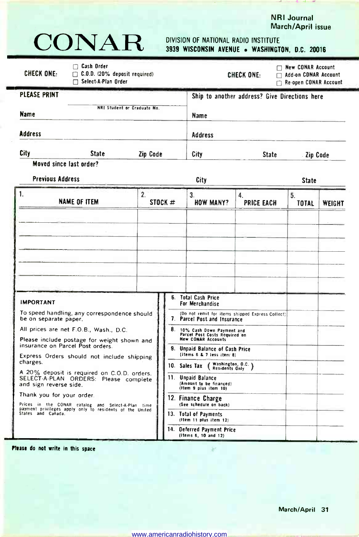

NRI Journal

# CONAR DIVISION OF NATIONAL RADIO INSTITUTE

### 3939 WISCONSIN AVENUE . WASHINGTON, D.C. 20016

| $\Box$ Cash Order<br><b>CHECK ONE:</b><br>$\Box$ C.O.D. (20% deposit required)<br>$\Box$ Select-A-Plan Order                                                                                                                                                                                                                                                                                                |                               |                                                                                                                                                                                                                                                                                                                                                                                                                                   |                                                                                                          | CHECK ONE:                                    | Rew CONAR Account<br>$\Box$ Add-on CONAR Account<br>$\Box$ Re-open CONAR Account |        |
|-------------------------------------------------------------------------------------------------------------------------------------------------------------------------------------------------------------------------------------------------------------------------------------------------------------------------------------------------------------------------------------------------------------|-------------------------------|-----------------------------------------------------------------------------------------------------------------------------------------------------------------------------------------------------------------------------------------------------------------------------------------------------------------------------------------------------------------------------------------------------------------------------------|----------------------------------------------------------------------------------------------------------|-----------------------------------------------|----------------------------------------------------------------------------------|--------|
| <b>PLEASE PRINT</b><br>NRI Student or Graduate No.<br>Name                                                                                                                                                                                                                                                                                                                                                  |                               |                                                                                                                                                                                                                                                                                                                                                                                                                                   | Name                                                                                                     | Ship to another address? Give Directions here |                                                                                  |        |
| <b>Address</b>                                                                                                                                                                                                                                                                                                                                                                                              |                               |                                                                                                                                                                                                                                                                                                                                                                                                                                   | <b>Address</b>                                                                                           |                                               |                                                                                  |        |
| City<br>State                                                                                                                                                                                                                                                                                                                                                                                               | Zip Code                      |                                                                                                                                                                                                                                                                                                                                                                                                                                   | City                                                                                                     | <b>State</b>                                  | Zip Code                                                                         |        |
| Moved since last order?<br><b>Previous Address</b>                                                                                                                                                                                                                                                                                                                                                          |                               |                                                                                                                                                                                                                                                                                                                                                                                                                                   | City                                                                                                     |                                               | <b>State</b>                                                                     |        |
| 1.<br><b>NAME OF ITEM</b>                                                                                                                                                                                                                                                                                                                                                                                   | $\overline{2}$ .<br>STOCK $#$ |                                                                                                                                                                                                                                                                                                                                                                                                                                   | 3.<br><b>HOW MANY?</b>                                                                                   | 4.<br><b>PRICE EACH</b>                       | 5.<br><b>TOTAL</b>                                                               | WEIGHT |
| <b>IMPORTANT</b>                                                                                                                                                                                                                                                                                                                                                                                            |                               |                                                                                                                                                                                                                                                                                                                                                                                                                                   | 6. Total Cash Price<br>For Merchandise                                                                   |                                               |                                                                                  |        |
| To speed handling, any correspondence should<br>be on separate paper.<br>All prices are net F.O.B., Wash., D.C.<br>Please include postage for weight shown and<br>insurance on Parcel Post orders.<br>Express Orders should not include shipping<br>charges.<br>A 20% deposit is required on C.O.D. orders.<br>SELECT-A-PLAN ORDERS: Please complete<br>and sign reverse side.<br>Thank you for your order. |                               | (Do not remit for items shipped Express Collect)<br>7. Parcel Post and Insurance<br>8. 10% Cash Down Payment and<br>Parcel Post Costs Required on<br><b>New CONAR Accounts</b><br>9. Unpaid Balance of Cash Price<br>(Items 6 & 7 less item 8)<br>Washington, O.C. )<br>10. Sales Tax<br>Residents Only<br>11. Unpaid Balance<br>(Amount to be financed)<br>(Item 9 plus item 10)<br>12. Finance Charge<br>(See schedule on back) |                                                                                                          |                                               |                                                                                  |        |
|                                                                                                                                                                                                                                                                                                                                                                                                             |                               |                                                                                                                                                                                                                                                                                                                                                                                                                                   |                                                                                                          |                                               |                                                                                  |        |
| Prices in the CONAR catalog and Select-A-Plan time<br>payment privileges apply only to residents of the United<br>States and Canada.                                                                                                                                                                                                                                                                        |                               | 14.                                                                                                                                                                                                                                                                                                                                                                                                                               | 13. Total of Payments<br>(Item 11 plus item 12)<br><b>Oeferred Payment Price</b><br>(Items 6, 10 and 12) |                                               |                                                                                  |        |

Please do not write in this space

 $\hat{\mathcal{R}}^{\mathcal{E}}$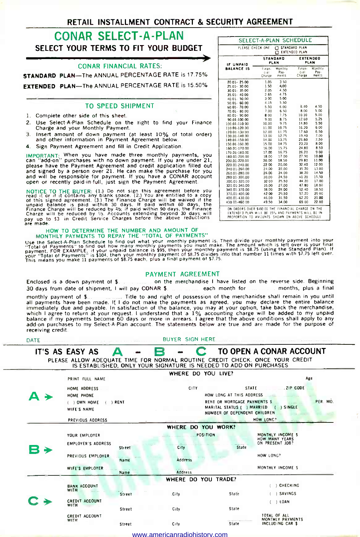### RETAIL INSTALLMENT CONTRACT & SECURITY AGREEMENT

### CONAR SELECT -A -PLAN SELECT YOUR TERMS TO FIT YOUR BUDGET

#### CONAR FINANCIAL RATES:

STANDARD PLAN-The ANNUAL PERCENTAGE RATE is 17.75%

**EXTENDED PLAN--The ANNUAL PERCENTAGE RATE is 15 50%** 

#### TO SPEED SHIPMENT

- 1. Complete other side of this sheet.
- 2. Use Select -A -Plan Schedule on the right to find your Finance Charge and your Monthly Payment.
- 3. Insert amount of down payment (at least 10% of total order) and other information in Payment Agreement below.
- 4. Sign Payment Agreement and fill in Credit Application.

IMPORTANT: When you have made three monthly payments, you can "add-on" purchases with no down payment. If you are under 21, please have the Payment Agreement and credit application filled out and signed by a person over 21. He can make the purchase for you and will be responsible for payment. If you have a CONAR account open or recently paid -in -full, just sign the Payment Agreement.

NOTICE TO THE BUYER: (1.) Do not sign this agreement before you<br>read it or if it contains any blank space. (2.) You are entitled to a copy<br>of this signed agreement, (3.) The Finance Charge will be waived if the<br>unpaid bal

### HOW TO DETERMINE THE NUMBER AND AMOUNT OF MONTHLY PAYMENTS TO REPAY THE "TOTAL OF PAYMENTS"

west the Select-A-Plan Schedule to find out what your monthly payment is. Then divide your monthly payment into your<br>"Total of Payments" to find out how many monthly payments you must make. The amount which is left over is

#### PAYMENT AGREEMENT

Enclosed is a down payment of \$ on the merchandise I have listed on the reverse side. Beginning<br>30 days from date of shipment, I will pay CONAR \$ and many each month for any month payments, plus a final 30 days from date of shipment, I will pay CONAR \$ monthly payment of S. Title to and right of possession of the merchanidse shall remain in you until all payments have been made. If I do not make the payments as agreed, you may declare the entire balance immediately due and payable. In satisfaction of the balance, you may at your option, take back the merchandise, which I agree to return at your request. I understand that a 1% accounting charge will be added to my unpaid balance if my payments become 60 days or more in arrears. I agree that the above conditions shall apply to any add-on purchases to my Select -A -Plan account. The statements below are true and are made for the purpose of receiving credit.

BUYER SIGN HERE

|    | IT'S AS EASY AS             | A      |                                                                                                                                                |                                   | TO OPEN A CONAR ACCOUNT               |          |  |  |
|----|-----------------------------|--------|------------------------------------------------------------------------------------------------------------------------------------------------|-----------------------------------|---------------------------------------|----------|--|--|
|    |                             |        | PLEASE ALLOW ADEQUATE TIME FOR NORMAL ROUTINE CREDIT CHECK. ONCE YOUR CREDIT IS ESTABLISHED, ONLY YOUR SIGNATURE IS NEEDED TO ADD ON PURCHASES |                                   |                                       |          |  |  |
|    |                             |        | WHERE DO YOU LIVE?                                                                                                                             |                                   |                                       |          |  |  |
|    | PRINT FULL NAME             |        |                                                                                                                                                |                                   | Age                                   |          |  |  |
|    | HOME ADDRESS                |        | <b>CITY</b>                                                                                                                                    | ZIP CODE<br><b>STATE</b>          |                                       |          |  |  |
|    | HOME PHONE                  |        |                                                                                                                                                | HOW LONG AT THIS ADDRESS          |                                       |          |  |  |
|    | ( ) OWN HOME<br>( ) RENT    |        |                                                                                                                                                | RENT OR MORTGAGE PAYMENTS \$      |                                       | PER. MO. |  |  |
|    | WIFE'S NAME                 |        |                                                                                                                                                | NUMBER OF DEPENDENT CHILDREN      | MARITAL STATUS ( ) MARRIED ( ) SINGLE |          |  |  |
|    | PREVIOUS ADDRESS            |        |                                                                                                                                                |                                   | HOW LONG?                             |          |  |  |
|    |                             |        | WHERE DO YOU WORK?                                                                                                                             |                                   |                                       |          |  |  |
|    |                             |        |                                                                                                                                                |                                   |                                       |          |  |  |
|    | YOUR EMPLOYER               |        | <b>POSITION</b>                                                                                                                                |                                   | MONTHLY INCOME \$<br>HOW MANY YEARS   |          |  |  |
|    | <b>EMPLOYER'S ADDRESS</b>   | Street | City                                                                                                                                           | State                             | ON PRESENT JOB?                       |          |  |  |
| 63 |                             |        |                                                                                                                                                |                                   |                                       |          |  |  |
|    | PREVIOUS EMPLOYER           | Name   | Address                                                                                                                                        |                                   | HOW LONG?                             |          |  |  |
|    | WIFE'S EMPLOYER             |        |                                                                                                                                                |                                   | MONTHLY INCOME S                      |          |  |  |
|    |                             | Name   | Address                                                                                                                                        |                                   |                                       |          |  |  |
|    |                             |        | WHERE DO YOU TRADE?                                                                                                                            |                                   |                                       |          |  |  |
|    | <b>BANK ACCOUNT</b><br>WITH |        |                                                                                                                                                |                                   | CHECKING                              |          |  |  |
|    |                             | Street | City                                                                                                                                           | State                             | ) SAVINGS                             |          |  |  |
|    | CREDIT ACCOUNT              |        |                                                                                                                                                |                                   | $( )$ LOAN                            |          |  |  |
|    | WITH                        | Street | City                                                                                                                                           | State                             |                                       |          |  |  |
|    | CREDIT ACCOUNT              |        |                                                                                                                                                |                                   | TOTAL OF ALL                          |          |  |  |
|    | WITH                        | Street | City                                                                                                                                           | progressions of the same<br>State | MONTHLY PAYMENTS<br>INCLUDING CAR \$  |          |  |  |
|    |                             |        |                                                                                                                                                |                                   |                                       |          |  |  |

www.americanradiohistory.com

| STANDARD PLAN<br>PLEASE CHECK ONE<br>п<br><b>EXTENDED PLAN</b><br>п |                           |                          |                                       |                          |  |  |
|---------------------------------------------------------------------|---------------------------|--------------------------|---------------------------------------|--------------------------|--|--|
| IF UNPAID                                                           | <b>STANDARD</b><br>PLAN   |                          | <b>EXTENDED</b><br>PLAN               |                          |  |  |
| <b>BALANCE IS</b>                                                   | Finan-<br>cial.<br>Charge | Monthly<br>Pay-<br>ments | Finan-<br>c <sub>i</sub> al<br>Charge | Monthly<br>Pav-<br>ments |  |  |
| 20.01-25.00                                                         | 1.05                      | 350                      |                                       |                          |  |  |
| 25.01 - 30.00                                                       | 1.50                      | 4.00                     |                                       |                          |  |  |
| 30.01 - 35.00                                                       | 2.05                      | 4.50                     |                                       |                          |  |  |
| 35.01-40.00                                                         | 2.65                      | 4.75                     |                                       |                          |  |  |
| 40.01 - 50.00                                                       | 3 0 0                     | 5.00                     |                                       |                          |  |  |
| $50.01 - 60.00$                                                     | 4.15                      | 5.50                     |                                       |                          |  |  |
| $60.01 - 70.00$                                                     | 5.50                      | 6.00                     | 6.40                                  | 4.50                     |  |  |
| $70.01 - 80.00$                                                     | 7.00                      | 6.50                     | 8.00                                  | 5.00                     |  |  |
| 80.01-90.00                                                         | 800                       | 7.75                     | 10.10                                 | 5.00                     |  |  |
| 90.01-100.00                                                        | 9.00                      | 8.75                     | 12.60                                 | 5.25                     |  |  |
| 100.01-110.00                                                       | 10.00                     | 9.75                     | 14.80                                 | 5.50                     |  |  |
| 110.01-120.00                                                       | 11.00                     | 10.75                    | 16.20                                 | 6.00                     |  |  |
| 120.01-130.00                                                       | 12.00                     | 11.75                    | 17.60                                 | 6.50                     |  |  |
| 130.01-140.00                                                       | 13.00                     | 12.75                    | 19.40                                 | 7.00                     |  |  |
| 140.01-150.00                                                       | 14.00                     | 13.75                    | 21.60                                 | 7.50                     |  |  |
| 150.01-160.00                                                       | 15.00                     | 14.75                    | 23.20                                 | 8.00                     |  |  |
| 160.01-170.00                                                       | 16.00                     | 15.75                    | 24.80                                 | 8.50                     |  |  |
| 170.01-180.00                                                       | 17.00                     | 16.75                    | 26.20                                 | 9 00                     |  |  |
| 180.01-200.00                                                       | 18.0C                     | 17 00                    | 27.90                                 | 10.00                    |  |  |
| 200.01-220.00                                                       | 20.00                     | 18.50                    | 29 80                                 | 11.00                    |  |  |
| 220.01-240.00                                                       | 22 00                     | 20.00                    | 32.40                                 | 12.00                    |  |  |
| 240.01-260.00                                                       | 24.00                     | 22.00                    | 35.20<br>38.20                        | 13.00                    |  |  |
| 260.01-280.00                                                       | 26.00                     | 24.00                    |                                       | 14.50<br>15.50           |  |  |
| 280 01-300.00                                                       | 30.00                     | 24.50<br>25.50           | 41 20<br>44.20                        | 17.00                    |  |  |
| 300.01-320.00                                                       | 32 00                     | 27.00                    | 47.80                                 | 18.00                    |  |  |
| 320.01-340.00                                                       | 35.00                     |                          |                                       |                          |  |  |
| 340.01-370.00                                                       | 38.00                     | 28.00                    | 52.40                                 | 18.50                    |  |  |
| 370.01-400.00                                                       | 42 00                     | 29.50<br>31.50           | 57.20                                 | 29 00<br>21.00           |  |  |
| 400.01-430.00                                                       | 46.00                     |                          | 62.20                                 |                          |  |  |
| 430 01-460 00                                                       | 49.50                     | 34.00                    | 69.00                                 | 22.00                    |  |  |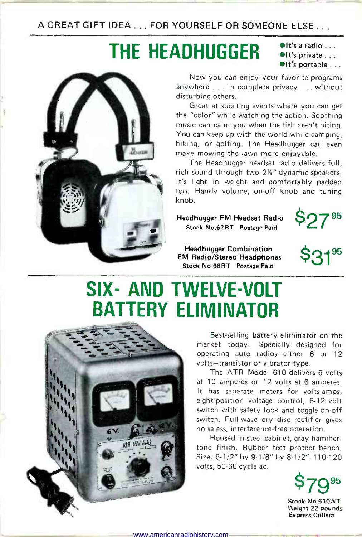<sup>A</sup>GREAT GIFT IDEA ... FOR YOURSELF OR SOMEONE ELSE...

# THE HEADHUGGER  $\frac{\text{Pit's a radio ...}}{\text{Pit's private ...}}$



Now you can enjoy your favorite programs anywhere ... in complete privacy ... without disturbing others.

Great at sporting events where you can get the "color" while watching the action. Soothing music can calm you when the fish aren't biting. You can keep up with the world while camping, hiking, or golfing. The Headhugger can even make mowing the lawn more enjoyable.

The Headhugger headset radio delivers full, rich sound through two 2Ya" dynamic speakers. It's light in weight and comfortably padded too. Handy volume, on -off knob and tuning knob.

Headhugger FM Headset Radio Stock No.67RT Postage Paid



Headhugger Combination FM Radio/Stereo Headphones Stock No.68RT Postage Paid



### SIX- AND TWELVE-VOLT BATTERY ELIMINATOR



Best-selling battery eliminator on the market today. Specially designed for operating auto radios-either 6 or 12 volts-transistor or vibrator type.

The ATR Model 610 delivers 6 volts at 10 amperes or 12 volts at 6 amperes. It has separate meters for volts-amps, eight-position voltage control, 6-12 volt switch with safety lock and toggle on-off switch. Full-wave dry disc rectifier gives noiseless, interference -free operation.

Housed in steel cabinet, gray hammertone finish. Rubber feet protect bench. Size: 6-1/2" by 9-1/8" by 8-1/2". 110-120 volts, 50-60 cycle ac.

 $$70^{95}$ 

Stock No.610WT Weight 22 pounds Express Collect